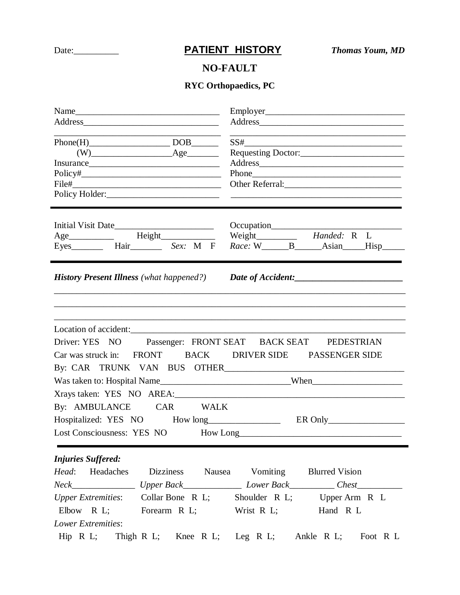## Date: <u>**PATIENT HISTORY** *Thomas Youm, MD*</u>

## **NO-FAULT**

## **RYC Orthopaedics, PC**

| $Phone(H)$ DOB<br>$(W)$ $\qquad \qquad \text{Age}$<br>$Policy\#$                                                                                                                                          | and the control of the control of the control of the control of the control of the control of the control of the<br>$SS# \underbrace{\hspace{2cm}}$         |  |
|-----------------------------------------------------------------------------------------------------------------------------------------------------------------------------------------------------------|-------------------------------------------------------------------------------------------------------------------------------------------------------------|--|
| Initial Visit Date<br>Age_____________  Height______________<br>Eyes___________ Hair__________ Sex: M F                                                                                                   | Weight Handed: R L                                                                                                                                          |  |
|                                                                                                                                                                                                           | <b>History Present Illness</b> (what happened?) Date of Accident: _____________________                                                                     |  |
| Location of accident:<br>Driver: YES NO Passenger: FRONT SEAT BACK SEAT PEDESTRIAN<br>Car was struck in: FRONT BACK DRIVER SIDE PASSENGER SIDE                                                            |                                                                                                                                                             |  |
|                                                                                                                                                                                                           |                                                                                                                                                             |  |
| By: AMBULANCE CAR WALK                                                                                                                                                                                    | Lost Consciousness: YES NO How Long                                                                                                                         |  |
| <b>Injuries Suffered:</b><br>Headaches<br><b>Dizziness</b><br>Head:<br>Upper Extremities: Collar Bone R L; Shoulder R L; Upper Arm R L<br>Elbow R L; Forearm R L; Wrist R L;<br><b>Lower Extremities:</b> | Nausea Vomiting<br><b>Blurred Vision</b><br>Neck_______________________Upper Back____________________Lower Back____________Chest_______________<br>Hand R L |  |
| $\text{Hip}$ R L;                                                                                                                                                                                         | Thigh R L; Knee R L; Leg R L; Ankle R L;<br>Foot R L                                                                                                        |  |